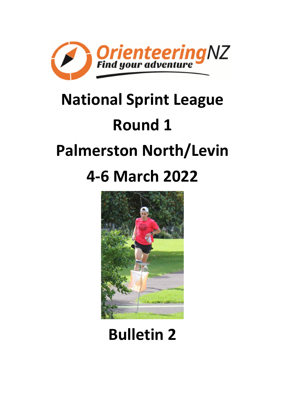

# **National Sprint League Round 1 Palmerston North/Levin 4-6 March 2022**



# **Bulletin 2**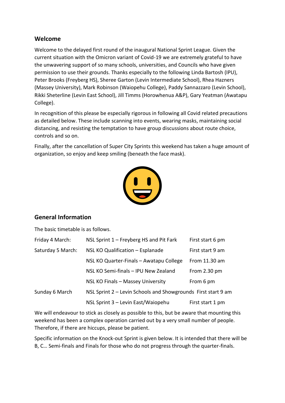#### **Welcome**

Welcome to the delayed first round of the inaugural National Sprint League. Given the current situation with the Omicron variant of Covid-19 we are extremely grateful to have the unwavering support of so many schools, universities, and Councils who have given permission to use their grounds. Thanks especially to the following Linda Bartosh (IPU), Peter Brooks (Freyberg HS), Sheree Garton (Levin Intermediate School), Rhea Hazners (Massey University), Mark Robinson (Waiopehu College), Paddy Sannazzaro (Levin School), Rikki Sheterline (Levin East School), Jill Timms (Horowhenua A&P), Gary Yeatman (Awatapu College).

In recognition of this please be especially rigorous in following all Covid related precautions as detailed below. These include scanning into events, wearing masks, maintaining social distancing, and resisting the temptation to have group discussions about route choice, controls and so on.

Finally, after the cancellation of Super City Sprints this weekend has taken a huge amount of organization, so enjoy and keep smiling (beneath the face mask).



#### **General Information**

The basic timetable is as follows.

| Friday 4 March:   | NSL Sprint $1$ – Freyberg HS and Pit Fark                     | First start 6 pm |
|-------------------|---------------------------------------------------------------|------------------|
| Saturday 5 March: | NSL KO Qualification - Esplanade                              |                  |
|                   | NSL KO Quarter-Finals - Awatapu College                       | From 11.30 am    |
|                   | NSL KO Semi-finals - IPU New Zealand                          | From 2.30 pm     |
|                   | NSL KO Finals - Massey University                             | From 6 pm        |
| Sunday 6 March    | NSL Sprint 2 - Levin Schools and Showgrounds First start 9 am |                  |
|                   | NSL Sprint 3 - Levin East/Waiopehu                            | First start 1 pm |

We will endeavour to stick as closely as possible to this, but be aware that mounting this weekend has been a complex operation carried out by a very small number of people. Therefore, if there are hiccups, please be patient.

Specific information on the Knock-out Sprint is given below. It is intended that there will be B, C… Semi-finals and Finals for those who do not progress through the quarter-finals.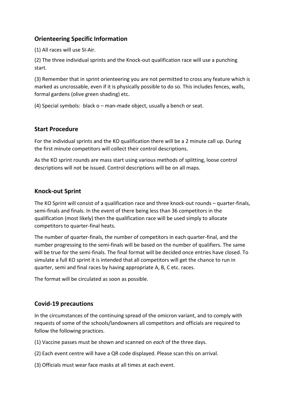#### **Orienteering Specific Information**

(1) All races will use SI-Air.

(2) The three individual sprints and the Knock-out qualification race will use a punching start.

(3) Remember that in sprint orienteering you are not permitted to cross any feature which is marked as uncrossable, even if it is physically possible to do so. This includes fences, walls, formal gardens (olive green shading) etc.

(4) Special symbols: black o – man-made object, usually a bench or seat.

#### **Start Procedure**

For the individual sprints and the KO qualification there will be a 2 minute call up. During the first minute competitors will collect their control descriptions.

As the KO sprint rounds are mass start using various methods of splitting, loose control descriptions will not be issued. Control descriptions will be on all maps.

#### **Knock-out Sprint**

The KO Sprint will consist of a qualification race and three knock-out rounds – quarter-finals, semi-finals and finals. In the event of there being less than 36 competitors in the qualification (most likely) then the qualification race will be used simply to allocate competitors to quarter-final heats.

The number of quarter-finals, the number of competitors in each quarter-final, and the number progressing to the semi-finals will be based on the number of qualifiers. The same will be true for the semi-finals. The final format will be decided once entries have closed. To simulate a full KO sprint it is intended that all competitors will get the chance to run in quarter, semi and final races by having appropriate A, B, C etc. races.

The format will be circulated as soon as possible.

#### **Covid-19 precautions**

In the circumstances of the continuing spread of the omicron variant, and to comply with requests of some of the schools/landowners all competitors and officials are required to follow the following practices.

- (1) Vaccine passes must be shown and scanned on *each* of the three days.
- (2) Each event centre will have a QR code displayed. Please scan this on arrival.
- (3) Officials must wear face masks at all times at each event.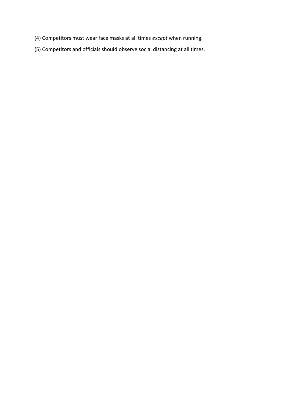- (4) Competitors must wear face masks at all times *except* when running.
- (5) Competitors and officials should observe social distancing at all times.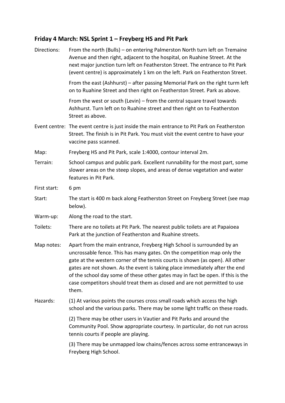# **Friday 4 March: NSL Sprint 1 – Freyberg HS and Pit Park**

| Directions:  | From the north (Bulls) – on entering Palmerston North turn left on Tremaine<br>Avenue and then right, adjacent to the hospital, on Ruahine Street. At the<br>next major junction turn left on Featherston Street. The entrance to Pit Park<br>(event centre) is approximately 1 km on the left. Park on Featherston Street.                                                                                                                                                                |
|--------------|--------------------------------------------------------------------------------------------------------------------------------------------------------------------------------------------------------------------------------------------------------------------------------------------------------------------------------------------------------------------------------------------------------------------------------------------------------------------------------------------|
|              | From the east (Ashhurst) – after passing Memorial Park on the right turm left<br>on to Ruahine Street and then right on Featherston Street. Park as above.                                                                                                                                                                                                                                                                                                                                 |
|              | From the west or south (Levin) – from the central square travel towards<br>Ashhurst. Turn left on to Ruahine street and then right on to Featherston<br>Street as above.                                                                                                                                                                                                                                                                                                                   |
|              | Event centre: The event centre is just inside the main entrance to Pit Park on Featherston<br>Street. The finish is in Pit Park. You must visit the event centre to have your<br>vaccine pass scanned.                                                                                                                                                                                                                                                                                     |
| Map:         | Freyberg HS and Pit Park, scale 1:4000, contour interval 2m.                                                                                                                                                                                                                                                                                                                                                                                                                               |
| Terrain:     | School campus and public park. Excellent runnability for the most part, some<br>slower areas on the steep slopes, and areas of dense vegetation and water<br>features in Pit Park.                                                                                                                                                                                                                                                                                                         |
| First start: | 6 pm                                                                                                                                                                                                                                                                                                                                                                                                                                                                                       |
| Start:       | The start is 400 m back along Featherston Street on Freyberg Street (see map<br>below).                                                                                                                                                                                                                                                                                                                                                                                                    |
| Warm-up:     | Along the road to the start.                                                                                                                                                                                                                                                                                                                                                                                                                                                               |
| Toilets:     | There are no toilets at Pit Park. The nearest public toilets are at Papaioea<br>Park at the junction of Featherston and Ruahine streets.                                                                                                                                                                                                                                                                                                                                                   |
| Map notes:   | Apart from the main entrance, Freyberg High School is surrounded by an<br>uncrossable fence. This has many gates. On the competition map only the<br>gate at the western corner of the tennis courts is shown (as open). All other<br>gates are not shown. As the event is taking place immediately after the end<br>of the school day some of these other gates may in fact be open. If this is the<br>case competitors should treat them as closed and are not permitted to use<br>them. |
| Hazards:     | (1) At various points the courses cross small roads which access the high<br>school and the various parks. There may be some light traffic on these roads.                                                                                                                                                                                                                                                                                                                                 |
|              | (2) There may be other users in Vautier and Pit Parks and around the<br>Community Pool. Show appropriate courtesy. In particular, do not run across<br>tennis courts if people are playing.                                                                                                                                                                                                                                                                                                |
|              | (3) There may be unmapped low chains/fences across some entranceways in<br>Freyberg High School.                                                                                                                                                                                                                                                                                                                                                                                           |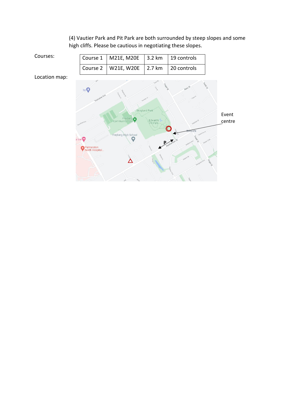(4) Vautier Park and Pit Park are both surrounded by steep slopes and some high cliffs. Please be cautious in negotiating these slopes.

| Courses:      | Course 1                               | M21E, M20E                 | 3.2 km                               | 19 controls                |                 |
|---------------|----------------------------------------|----------------------------|--------------------------------------|----------------------------|-----------------|
|               | Course 2                               | W21E, W20E                 | 2.7 km                               | 20 controls                |                 |
| Location map: |                                        |                            |                                      |                            |                 |
|               | bp U<br>amaine A                       |                            | <b>1998</b>                          | Testing<br>Rata St         |                 |
|               |                                        | Freyberg<br>Community Pool | Skoglund Park<br>Edwards<br>Pit Park |                            | Event<br>centre |
|               | or Inn<br>Palmerston<br>North Hospital | Freyberg High School<br>Θ  |                                      | Featherston St<br>Clyde Cr |                 |

 $\overline{a}$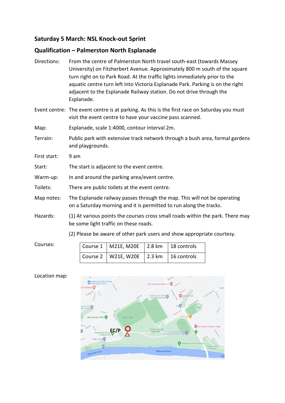#### **Qualification – Palmerston North Esplanade**

- Directions: From the centre of Palmerston North travel south-east (towards Massey University) on Fitzherbert Avenue. Approximately 800 m south of the square turn right on to Park Road. At the traffic lights immediately prior to the aquatic centre turn left into Victoria Esplanade Park. Parking is on the right adjacent to the Esplanade Railway station. Do not drive through the Esplanade.
- Event centre: The event centre is at parking. As this is the first race on Saturday you must visit the event centre to have your vaccine pass scanned.
- Map: Esplanade, scale 1:4000, contour interval 2m.
- Terrain: Public park with extensive track network through a bush area, formal gardens and playgrounds.
- First start: 9 am
- Start: The start is adjacent to the event centre.
- Warm-up: In and around the parking area/event centre.
- Toilets: There are public toilets at the event centre.
- Map notes: The Esplanade railway passes through the map. This will not be operating on a Saturday morning and it is permitted to run along the tracks.
- Hazards: (1) At various points the courses cross small roads within the park. There may be some light traffic on these roads.
	- (2) Please be aware of other park users and show appropriate courtesy.

| $\vert$ Course 1 $\vert$ M21E, M20E $\vert$ 2.8 km $\vert$ 18 controls |  |
|------------------------------------------------------------------------|--|
| Course 2   W21E, W20E   2.3 km   16 controls                           |  |

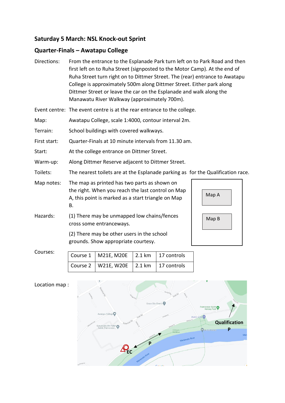### **Quarter-Finals – Awatapu College**

| Directions:  | From the entrance to the Esplanade Park turn left on to Park Road and then<br>first left on to Ruha Street (signposted to the Motor Camp). At the end of<br>Ruha Street turn right on to Dittmer Street. The (rear) entrance to Awatapu<br>College is approximately 500m along Dittmer Street. Either park along<br>Dittmer Street or leave the car on the Esplanade and walk along the<br>Manawatu River Walkway (approximately 700m). |       |  |  |
|--------------|-----------------------------------------------------------------------------------------------------------------------------------------------------------------------------------------------------------------------------------------------------------------------------------------------------------------------------------------------------------------------------------------------------------------------------------------|-------|--|--|
|              | Event centre: The event centre is at the rear entrance to the college.                                                                                                                                                                                                                                                                                                                                                                  |       |  |  |
| Map:         | Awatapu College, scale 1:4000, contour interval 2m.                                                                                                                                                                                                                                                                                                                                                                                     |       |  |  |
| Terrain:     | School buildings with covered walkways.                                                                                                                                                                                                                                                                                                                                                                                                 |       |  |  |
| First start: | Quarter-Finals at 10 minute intervals from 11.30 am.                                                                                                                                                                                                                                                                                                                                                                                    |       |  |  |
| Start:       | At the college entrance on Dittmer Street.                                                                                                                                                                                                                                                                                                                                                                                              |       |  |  |
| Warm-up:     | Along Dittmer Reserve adjacent to Dittmer Street.                                                                                                                                                                                                                                                                                                                                                                                       |       |  |  |
| Toilets:     | The nearest toilets are at the Esplanade parking as for the Qualification race.                                                                                                                                                                                                                                                                                                                                                         |       |  |  |
| Map notes:   | The map as printed has two parts as shown on<br>the right. When you reach the last control on Map<br>A, this point is marked as a start triangle on Map<br>В.                                                                                                                                                                                                                                                                           | Map A |  |  |
| Hazards:     | (1) There may be unmapped low chains/fences<br>cross some entranceways.                                                                                                                                                                                                                                                                                                                                                                 | Map B |  |  |
|              | (2) There may be other users in the school<br>grounds. Show appropriate courtesy.                                                                                                                                                                                                                                                                                                                                                       |       |  |  |
|              |                                                                                                                                                                                                                                                                                                                                                                                                                                         |       |  |  |

Courses:

| Course 1   M21E, M20E   2.1 km   17 controls |  |
|----------------------------------------------|--|
| Course 2   W21E, W20E   2.1 km   17 controls |  |

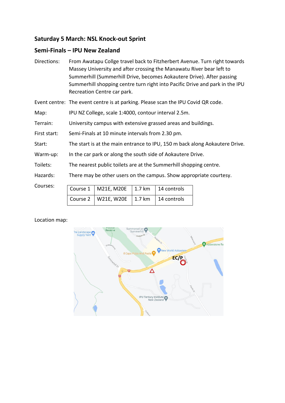#### **Semi-Finals – IPU New Zealand**

Directions: From Awatapu Collge travel back to Fitzherbert Avenue. Turn right towards Massey University and after crossing the Manawatu River bear left to Summerhill (Summerhill Drive, becomes Aokautere Drive). After passing Summerhill shopping centre turn right into Pacific Drive and park in the IPU Recreation Centre car park.

Event centre: The event centre is at parking. Please scan the IPU Covid QR code.

Map: IPU NZ College, scale 1:4000, contour interval 2.5m.

Terrain: University campus with extensive grassed areas and buildings.

First start: Semi-Finals at 10 minute intervals from 2.30 pm.

Start: The start is at the main entrance to IPU, 150 m back along Aokautere Drive.

Warm-up: In the car park or along the south side of Aokautere Drive.

Toilets: The nearest public toilets are at the Summerhill shopping centre.

Hazards: There may be other users on the campus. Show appropriate courtesy.

Courses:

|  | Course $1 \mid M21E, M20E \mid 1.7 km \mid 14$ controls |  |
|--|---------------------------------------------------------|--|
|  | Course 2   W21E, W20E   1.7 km   14 controls            |  |

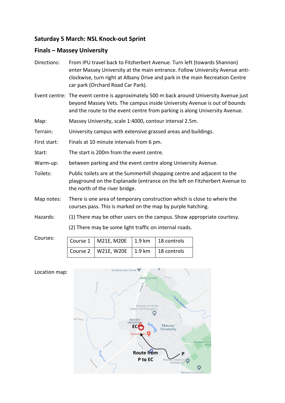#### **Finals – Massey University**

| Directions: | From IPU travel back to Fitzherbert Avenue. Turn left (towards Shannon)      |
|-------------|------------------------------------------------------------------------------|
|             | enter Massey University at the main entrance. Follow University Avenue anti- |
|             | clockwise, turn right at Albany Drive and park in the main Recreation Centre |
|             | car park (Orchard Road Car Park).                                            |

- Event centre: The event centre is approximately 500 m back around University Avenue just beyond Massey Vets. The campus inside University Avenue is out of bounds and the route to the event centre from parking is along University Avenue.
- Map: Massey University, scale 1:4000, contour interval 2.5m.

Terrain: University campus with extensive grassed areas and buildings.

First start: Finals at 10 minute intervals from 6 pm.

Start: The start is 200m from the event centre.

- Warm-up: between parking and the event centre along University Avenue.
- Toilets: Public toilets are at the Summerhill shopping centre and adjacent to the playground on the Esplanade (entrance on the left on Fitzherbert Avenue to the north of the river bridge.
- Map notes: There is one area of temporary construction which is close to where the courses pass. This is marked on the map by purple hatching.
- Hazards: (1) There may be other users on the campus. Show appropriate courtesy.

(2) There may be some light traffic on internal roads.

Courses: Course  $1 \mid M21E, M20E \mid 1.9$  km  $\mid 18$  controls Course 2 | W21E, W20E | 1.9 km | 18 controls

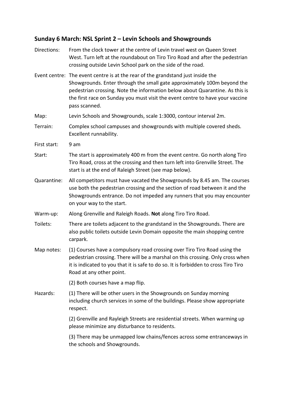#### **Sunday 6 March: NSL Sprint 2 – Levin Schools and Showgrounds**

Directions: From the clock tower at the centre of Levin travel west on Queen Street West. Turn left at the roundabout on Tiro Tiro Road and after the pedestrian crossing outside Levin School park on the side of the road. Event centre: The event centre is at the rear of the grandstand just inside the Showgrounds. Enter through the small gate approximately 100m beyond the pedestrian crossing. Note the information below about Quarantine. As this is the first race on Sunday you must visit the event centre to have your vaccine pass scanned. Map: Levin Schools and Showgrounds, scale 1:3000, contour interval 2m. Terrain: Complex school campuses and showgrounds with multiple covered sheds. Excellent runnability. First start: 9 am Start: The start is approximately 400 m from the event centre. Go north along Tiro Tiro Road, cross at the crossing and then turn left into Grenville Street. The start is at the end of Raleigh Street (see map below). Quarantine: All competitors must have vacated the Showgrounds by 8.45 am. The courses use both the pedestrian crossing and the section of road between it and the Showgrounds entrance. Do not impeded any runners that you may encounter on your way to the start. Warm-up: Along Grenville and Raleigh Roads. **Not** along Tiro Tiro Road. Toilets: There are toilets adjacent to the grandstand in the Showgrounds. There are also public toilets outside Levin Domain opposite the main shopping centre carpark. Map notes: (1) Courses have a compulsory road crossing over Tiro Tiro Road using the pedestrian crossing. There will be a marshal on this crossing. Only cross when it is indicated to you that it is safe to do so. It is forbidden to cross Tiro Tiro Road at any other point. (2) Both courses have a map flip. Hazards: (1) There will be other users in the Showgrounds on Sunday morning including church services in some of the buildings. Please show appropriate respect. (2) Grenville and Rayleigh Streets are residential streets. When warming up please minimize any disturbance to residents. (3) There may be unmapped low chains/fences across some entranceways in the schools and Showgrounds.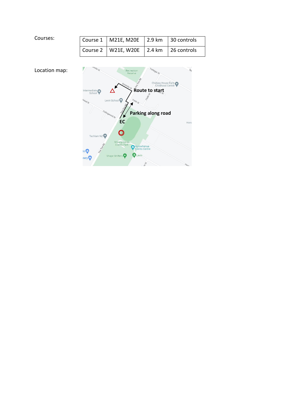| Courses: | Course $1 \mid M21E, M20E \mid 2.9$ km $\mid 30$ controls |  |
|----------|-----------------------------------------------------------|--|
|          | Course 2   W21E, W20E   2.4 km   26 controls              |  |